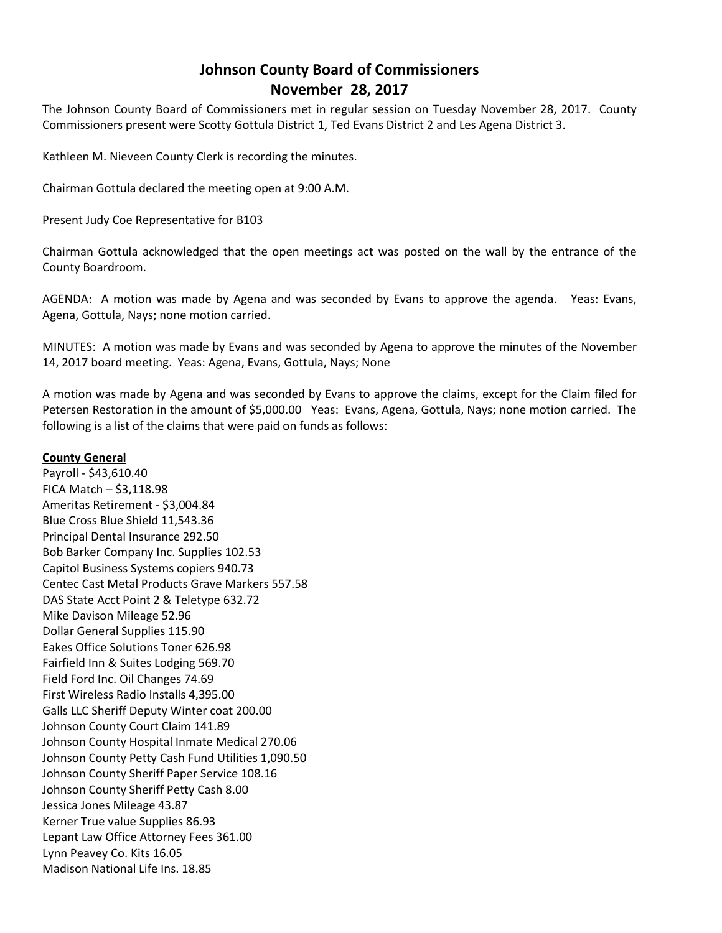# **Johnson County Board of Commissioners November 28, 2017**

The Johnson County Board of Commissioners met in regular session on Tuesday November 28, 2017. County Commissioners present were Scotty Gottula District 1, Ted Evans District 2 and Les Agena District 3.

Kathleen M. Nieveen County Clerk is recording the minutes.

Chairman Gottula declared the meeting open at 9:00 A.M.

Present Judy Coe Representative for B103

Chairman Gottula acknowledged that the open meetings act was posted on the wall by the entrance of the County Boardroom.

AGENDA: A motion was made by Agena and was seconded by Evans to approve the agenda. Yeas: Evans, Agena, Gottula, Nays; none motion carried.

MINUTES: A motion was made by Evans and was seconded by Agena to approve the minutes of the November 14, 2017 board meeting. Yeas: Agena, Evans, Gottula, Nays; None

A motion was made by Agena and was seconded by Evans to approve the claims, except for the Claim filed for Petersen Restoration in the amount of \$5,000.00 Yeas: Evans, Agena, Gottula, Nays; none motion carried. The following is a list of the claims that were paid on funds as follows:

## **County General**

Payroll - \$43,610.40 FICA Match – \$3,118.98 Ameritas Retirement - \$3,004.84 Blue Cross Blue Shield 11,543.36 Principal Dental Insurance 292.50 Bob Barker Company Inc. Supplies 102.53 Capitol Business Systems copiers 940.73 Centec Cast Metal Products Grave Markers 557.58 DAS State Acct Point 2 & Teletype 632.72 Mike Davison Mileage 52.96 Dollar General Supplies 115.90 Eakes Office Solutions Toner 626.98 Fairfield Inn & Suites Lodging 569.70 Field Ford Inc. Oil Changes 74.69 First Wireless Radio Installs 4,395.00 Galls LLC Sheriff Deputy Winter coat 200.00 Johnson County Court Claim 141.89 Johnson County Hospital Inmate Medical 270.06 Johnson County Petty Cash Fund Utilities 1,090.50 Johnson County Sheriff Paper Service 108.16 Johnson County Sheriff Petty Cash 8.00 Jessica Jones Mileage 43.87 Kerner True value Supplies 86.93 Lepant Law Office Attorney Fees 361.00 Lynn Peavey Co. Kits 16.05 Madison National Life Ins. 18.85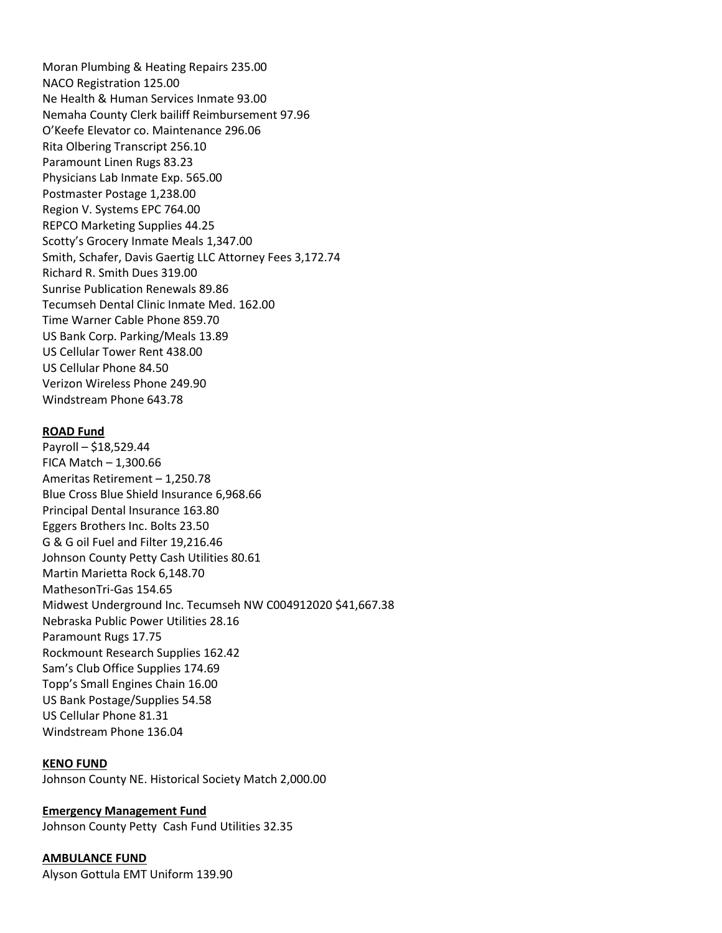Moran Plumbing & Heating Repairs 235.00 NACO Registration 125.00 Ne Health & Human Services Inmate 93.00 Nemaha County Clerk bailiff Reimbursement 97.96 O'Keefe Elevator co. Maintenance 296.06 Rita Olbering Transcript 256.10 Paramount Linen Rugs 83.23 Physicians Lab Inmate Exp. 565.00 Postmaster Postage 1,238.00 Region V. Systems EPC 764.00 REPCO Marketing Supplies 44.25 Scotty's Grocery Inmate Meals 1,347.00 Smith, Schafer, Davis Gaertig LLC Attorney Fees 3,172.74 Richard R. Smith Dues 319.00 Sunrise Publication Renewals 89.86 Tecumseh Dental Clinic Inmate Med. 162.00 Time Warner Cable Phone 859.70 US Bank Corp. Parking/Meals 13.89 US Cellular Tower Rent 438.00 US Cellular Phone 84.50 Verizon Wireless Phone 249.90 Windstream Phone 643.78

#### **ROAD Fund**

Payroll – \$18,529.44 FICA Match – 1,300.66 Ameritas Retirement – 1,250.78 Blue Cross Blue Shield Insurance 6,968.66 Principal Dental Insurance 163.80 Eggers Brothers Inc. Bolts 23.50 G & G oil Fuel and Filter 19,216.46 Johnson County Petty Cash Utilities 80.61 Martin Marietta Rock 6,148.70 MathesonTri-Gas 154.65 Midwest Underground Inc. Tecumseh NW C004912020 \$41,667.38 Nebraska Public Power Utilities 28.16 Paramount Rugs 17.75 Rockmount Research Supplies 162.42 Sam's Club Office Supplies 174.69 Topp's Small Engines Chain 16.00 US Bank Postage/Supplies 54.58 US Cellular Phone 81.31 Windstream Phone 136.04

### **KENO FUND**

Johnson County NE. Historical Society Match 2,000.00

### **Emergency Management Fund**

Johnson County Petty Cash Fund Utilities 32.35

### **AMBULANCE FUND**

Alyson Gottula EMT Uniform 139.90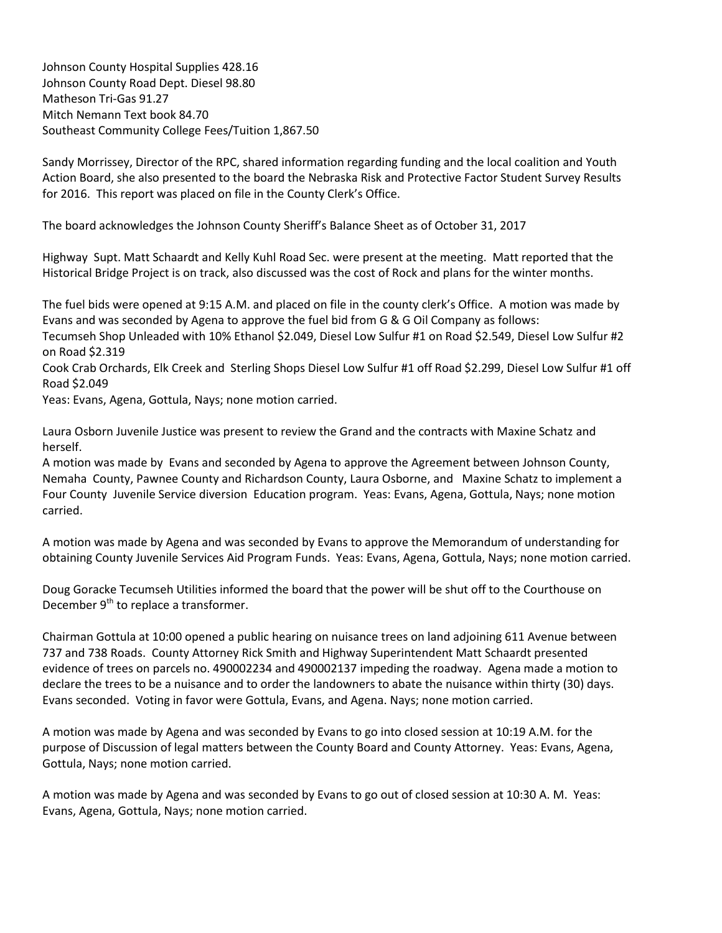Johnson County Hospital Supplies 428.16 Johnson County Road Dept. Diesel 98.80 Matheson Tri-Gas 91.27 Mitch Nemann Text book 84.70 Southeast Community College Fees/Tuition 1,867.50

Sandy Morrissey, Director of the RPC, shared information regarding funding and the local coalition and Youth Action Board, she also presented to the board the Nebraska Risk and Protective Factor Student Survey Results for 2016. This report was placed on file in the County Clerk's Office.

The board acknowledges the Johnson County Sheriff's Balance Sheet as of October 31, 2017

Highway Supt. Matt Schaardt and Kelly Kuhl Road Sec. were present at the meeting. Matt reported that the Historical Bridge Project is on track, also discussed was the cost of Rock and plans for the winter months.

The fuel bids were opened at 9:15 A.M. and placed on file in the county clerk's Office. A motion was made by Evans and was seconded by Agena to approve the fuel bid from G & G Oil Company as follows:

Tecumseh Shop Unleaded with 10% Ethanol \$2.049, Diesel Low Sulfur #1 on Road \$2.549, Diesel Low Sulfur #2 on Road \$2.319

Cook Crab Orchards, Elk Creek and Sterling Shops Diesel Low Sulfur #1 off Road \$2.299, Diesel Low Sulfur #1 off Road \$2.049

Yeas: Evans, Agena, Gottula, Nays; none motion carried.

Laura Osborn Juvenile Justice was present to review the Grand and the contracts with Maxine Schatz and herself.

A motion was made by Evans and seconded by Agena to approve the Agreement between Johnson County, Nemaha County, Pawnee County and Richardson County, Laura Osborne, and Maxine Schatz to implement a Four County Juvenile Service diversion Education program. Yeas: Evans, Agena, Gottula, Nays; none motion carried.

A motion was made by Agena and was seconded by Evans to approve the Memorandum of understanding for obtaining County Juvenile Services Aid Program Funds. Yeas: Evans, Agena, Gottula, Nays; none motion carried.

Doug Goracke Tecumseh Utilities informed the board that the power will be shut off to the Courthouse on December  $9<sup>th</sup>$  to replace a transformer.

Chairman Gottula at 10:00 opened a public hearing on nuisance trees on land adjoining 611 Avenue between 737 and 738 Roads. County Attorney Rick Smith and Highway Superintendent Matt Schaardt presented evidence of trees on parcels no. 490002234 and 490002137 impeding the roadway. Agena made a motion to declare the trees to be a nuisance and to order the landowners to abate the nuisance within thirty (30) days. Evans seconded. Voting in favor were Gottula, Evans, and Agena. Nays; none motion carried.

A motion was made by Agena and was seconded by Evans to go into closed session at 10:19 A.M. for the purpose of Discussion of legal matters between the County Board and County Attorney. Yeas: Evans, Agena, Gottula, Nays; none motion carried.

A motion was made by Agena and was seconded by Evans to go out of closed session at 10:30 A. M. Yeas: Evans, Agena, Gottula, Nays; none motion carried.